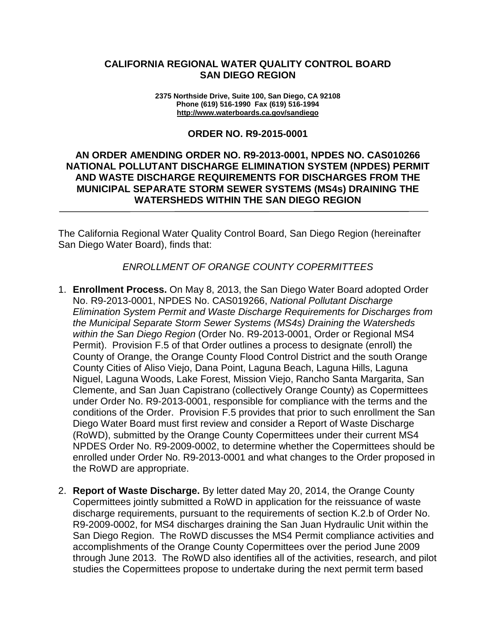## **CALIFORNIA REGIONAL WATER QUALITY CONTROL BOARD SAN DIEGO REGION**

**2375 Northside Drive, Suite 100, San Diego, CA 92108 Phone (619) 516-1990 Fax (619) 516-1994 <http://www.waterboards.ca.gov/sandiego>**

#### **ORDER NO. R9-2015-0001**

## **AN ORDER AMENDING ORDER NO. R9-2013-0001, NPDES NO. CAS010266 NATIONAL POLLUTANT DISCHARGE ELIMINATION SYSTEM (NPDES) PERMIT AND WASTE DISCHARGE REQUIREMENTS FOR DISCHARGES FROM THE MUNICIPAL SEPARATE STORM SEWER SYSTEMS (MS4s) DRAINING THE WATERSHEDS WITHIN THE SAN DIEGO REGION**

The California Regional Water Quality Control Board, San Diego Region (hereinafter San Diego Water Board), finds that:

### *ENROLLMENT OF ORANGE COUNTY COPERMITTEES*

- 1. **Enrollment Process.** On May 8, 2013, the San Diego Water Board adopted Order No. R9-2013-0001, NPDES No. CAS019266, *National Pollutant Discharge Elimination System Permit and Waste Discharge Requirements for Discharges from the Municipal Separate Storm Sewer Systems (MS4s) Draining the Watersheds within the San Diego Region* (Order No. R9-2013-0001, Order or Regional MS4 Permit). Provision F.5 of that Order outlines a process to designate (enroll) the County of Orange, the Orange County Flood Control District and the south Orange County Cities of Aliso Viejo, Dana Point, Laguna Beach, Laguna Hills, Laguna Niguel, Laguna Woods, Lake Forest, Mission Viejo, Rancho Santa Margarita, San Clemente, and San Juan Capistrano (collectively Orange County) as Copermittees under Order No. R9-2013-0001, responsible for compliance with the terms and the conditions of the Order. Provision F.5 provides that prior to such enrollment the San Diego Water Board must first review and consider a Report of Waste Discharge (RoWD), submitted by the Orange County Copermittees under their current MS4 NPDES Order No. R9-2009-0002, to determine whether the Copermittees should be enrolled under Order No. R9-2013-0001 and what changes to the Order proposed in the RoWD are appropriate.
- 2. **Report of Waste Discharge.** By letter dated May 20, 2014, the Orange County Copermittees jointly submitted a RoWD in application for the reissuance of waste discharge requirements, pursuant to the requirements of section K.2.b of Order No. R9-2009-0002, for MS4 discharges draining the San Juan Hydraulic Unit within the San Diego Region. The RoWD discusses the MS4 Permit compliance activities and accomplishments of the Orange County Copermittees over the period June 2009 through June 2013. The RoWD also identifies all of the activities, research, and pilot studies the Copermittees propose to undertake during the next permit term based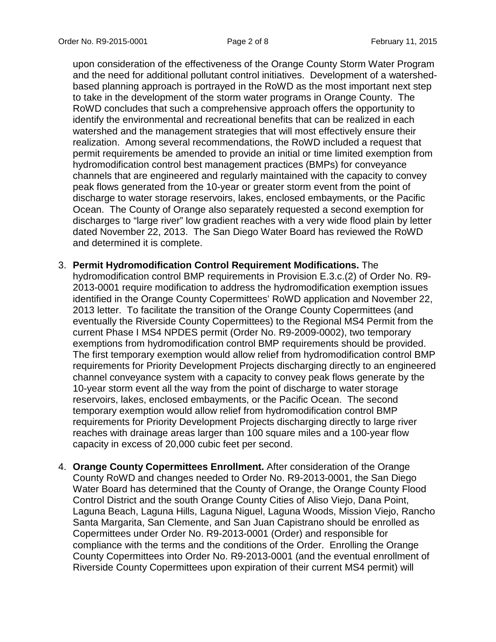upon consideration of the effectiveness of the Orange County Storm Water Program and the need for additional pollutant control initiatives. Development of a watershedbased planning approach is portrayed in the RoWD as the most important next step to take in the development of the storm water programs in Orange County. The RoWD concludes that such a comprehensive approach offers the opportunity to identify the environmental and recreational benefits that can be realized in each watershed and the management strategies that will most effectively ensure their realization. Among several recommendations, the RoWD included a request that permit requirements be amended to provide an initial or time limited exemption from hydromodification control best management practices (BMPs) for conveyance channels that are engineered and regularly maintained with the capacity to convey peak flows generated from the 10-year or greater storm event from the point of discharge to water storage reservoirs, lakes, enclosed embayments, or the Pacific Ocean. The County of Orange also separately requested a second exemption for discharges to "large river" low gradient reaches with a very wide flood plain by letter dated November 22, 2013. The San Diego Water Board has reviewed the RoWD and determined it is complete.

- 3. **Permit Hydromodification Control Requirement Modifications.** The hydromodification control BMP requirements in Provision E.3.c.(2) of Order No. R9- 2013-0001 require modification to address the hydromodification exemption issues identified in the Orange County Copermittees' RoWD application and November 22, 2013 letter. To facilitate the transition of the Orange County Copermittees (and eventually the Riverside County Copermittees) to the Regional MS4 Permit from the current Phase I MS4 NPDES permit (Order No. R9-2009-0002), two temporary exemptions from hydromodification control BMP requirements should be provided. The first temporary exemption would allow relief from hydromodification control BMP requirements for Priority Development Projects discharging directly to an engineered channel conveyance system with a capacity to convey peak flows generate by the 10-year storm event all the way from the point of discharge to water storage reservoirs, lakes, enclosed embayments, or the Pacific Ocean. The second temporary exemption would allow relief from hydromodification control BMP requirements for Priority Development Projects discharging directly to large river reaches with drainage areas larger than 100 square miles and a 100-year flow capacity in excess of 20,000 cubic feet per second.
- 4. **Orange County Copermittees Enrollment.** After consideration of the Orange County RoWD and changes needed to Order No. R9-2013-0001, the San Diego Water Board has determined that the County of Orange, the Orange County Flood Control District and the south Orange County Cities of Aliso Viejo, Dana Point, Laguna Beach, Laguna Hills, Laguna Niguel, Laguna Woods, Mission Viejo, Rancho Santa Margarita, San Clemente, and San Juan Capistrano should be enrolled as Copermittees under Order No. R9-2013-0001 (Order) and responsible for compliance with the terms and the conditions of the Order. Enrolling the Orange County Copermittees into Order No. R9-2013-0001 (and the eventual enrollment of Riverside County Copermittees upon expiration of their current MS4 permit) will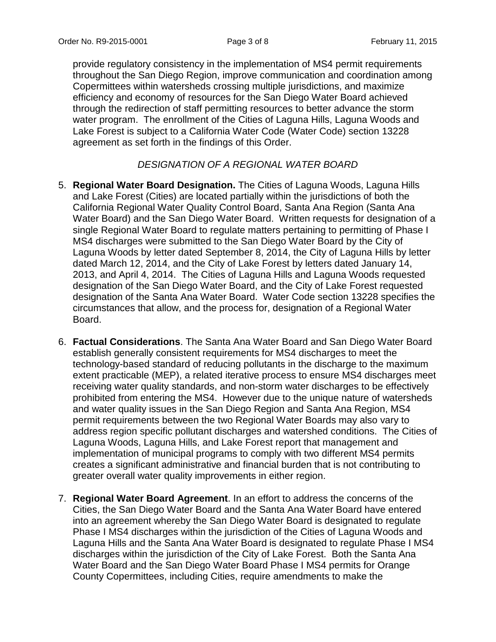provide regulatory consistency in the implementation of MS4 permit requirements throughout the San Diego Region, improve communication and coordination among Copermittees within watersheds crossing multiple jurisdictions, and maximize efficiency and economy of resources for the San Diego Water Board achieved through the redirection of staff permitting resources to better advance the storm water program. The enrollment of the Cities of Laguna Hills, Laguna Woods and Lake Forest is subject to a California Water Code (Water Code) section 13228 agreement as set forth in the findings of this Order.

# *DESIGNATION OF A REGIONAL WATER BOARD*

- 5. **Regional Water Board Designation.** The Cities of Laguna Woods, Laguna Hills and Lake Forest (Cities) are located partially within the jurisdictions of both the California Regional Water Quality Control Board, Santa Ana Region (Santa Ana Water Board) and the San Diego Water Board. Written requests for designation of a single Regional Water Board to regulate matters pertaining to permitting of Phase I MS4 discharges were submitted to the San Diego Water Board by the City of Laguna Woods by letter dated September 8, 2014, the City of Laguna Hills by letter dated March 12, 2014, and the City of Lake Forest by letters dated January 14, 2013, and April 4, 2014. The Cities of Laguna Hills and Laguna Woods requested designation of the San Diego Water Board, and the City of Lake Forest requested designation of the Santa Ana Water Board. Water Code section 13228 specifies the circumstances that allow, and the process for, designation of a Regional Water Board.
- 6. **Factual Considerations**. The Santa Ana Water Board and San Diego Water Board establish generally consistent requirements for MS4 discharges to meet the technology-based standard of reducing pollutants in the discharge to the maximum extent practicable (MEP), a related iterative process to ensure MS4 discharges meet receiving water quality standards, and non-storm water discharges to be effectively prohibited from entering the MS4. However due to the unique nature of watersheds and water quality issues in the San Diego Region and Santa Ana Region, MS4 permit requirements between the two Regional Water Boards may also vary to address region specific pollutant discharges and watershed conditions. The Cities of Laguna Woods, Laguna Hills, and Lake Forest report that management and implementation of municipal programs to comply with two different MS4 permits creates a significant administrative and financial burden that is not contributing to greater overall water quality improvements in either region.
- 7. **Regional Water Board Agreement**. In an effort to address the concerns of the Cities, the San Diego Water Board and the Santa Ana Water Board have entered into an agreement whereby the San Diego Water Board is designated to regulate Phase I MS4 discharges within the jurisdiction of the Cities of Laguna Woods and Laguna Hills and the Santa Ana Water Board is designated to regulate Phase I MS4 discharges within the jurisdiction of the City of Lake Forest. Both the Santa Ana Water Board and the San Diego Water Board Phase I MS4 permits for Orange County Copermittees, including Cities, require amendments to make the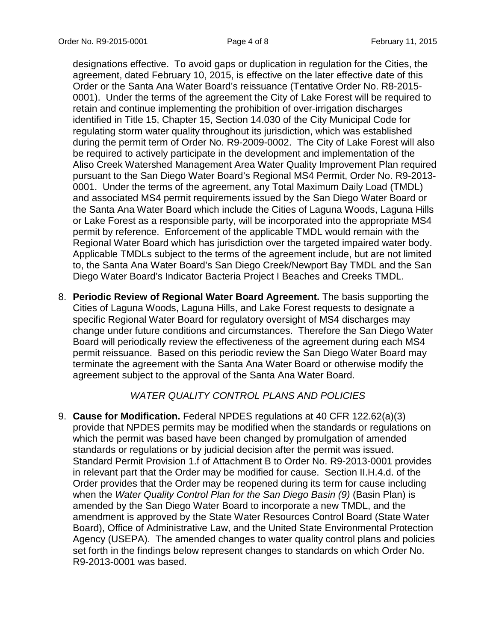designations effective. To avoid gaps or duplication in regulation for the Cities, the agreement, dated February 10, 2015, is effective on the later effective date of this Order or the Santa Ana Water Board's reissuance (Tentative Order No. R8-2015- 0001). Under the terms of the agreement the City of Lake Forest will be required to retain and continue implementing the prohibition of over-irrigation discharges identified in Title 15, Chapter 15, Section 14.030 of the City Municipal Code for regulating storm water quality throughout its jurisdiction, which was established during the permit term of Order No. R9-2009-0002. The City of Lake Forest will also be required to actively participate in the development and implementation of the Aliso Creek Watershed Management Area Water Quality Improvement Plan required pursuant to the San Diego Water Board's Regional MS4 Permit, Order No. R9-2013- 0001. Under the terms of the agreement, any Total Maximum Daily Load (TMDL) and associated MS4 permit requirements issued by the San Diego Water Board or the Santa Ana Water Board which include the Cities of Laguna Woods, Laguna Hills or Lake Forest as a responsible party, will be incorporated into the appropriate MS4 permit by reference. Enforcement of the applicable TMDL would remain with the Regional Water Board which has jurisdiction over the targeted impaired water body. Applicable TMDLs subject to the terms of the agreement include, but are not limited to, the Santa Ana Water Board's San Diego Creek/Newport Bay TMDL and the San Diego Water Board's Indicator Bacteria Project I Beaches and Creeks TMDL.

8. **Periodic Review of Regional Water Board Agreement.** The basis supporting the Cities of Laguna Woods, Laguna Hills, and Lake Forest requests to designate a specific Regional Water Board for regulatory oversight of MS4 discharges may change under future conditions and circumstances. Therefore the San Diego Water Board will periodically review the effectiveness of the agreement during each MS4 permit reissuance. Based on this periodic review the San Diego Water Board may terminate the agreement with the Santa Ana Water Board or otherwise modify the agreement subject to the approval of the Santa Ana Water Board.

# *WATER QUALITY CONTROL PLANS AND POLICIES*

9. **Cause for Modification.** Federal NPDES regulations at 40 CFR 122.62(a)(3) provide that NPDES permits may be modified when the standards or regulations on which the permit was based have been changed by promulgation of amended standards or regulations or by judicial decision after the permit was issued. Standard Permit Provision 1.f of Attachment B to Order No. R9-2013-0001 provides in relevant part that the Order may be modified for cause. Section II.H.4.d. of the Order provides that the Order may be reopened during its term for cause including when the *Water Quality Control Plan for the San Diego Basin (9)* (Basin Plan) is amended by the San Diego Water Board to incorporate a new TMDL, and the amendment is approved by the State Water Resources Control Board (State Water Board), Office of Administrative Law, and the United State Environmental Protection Agency (USEPA). The amended changes to water quality control plans and policies set forth in the findings below represent changes to standards on which Order No. R9-2013-0001 was based.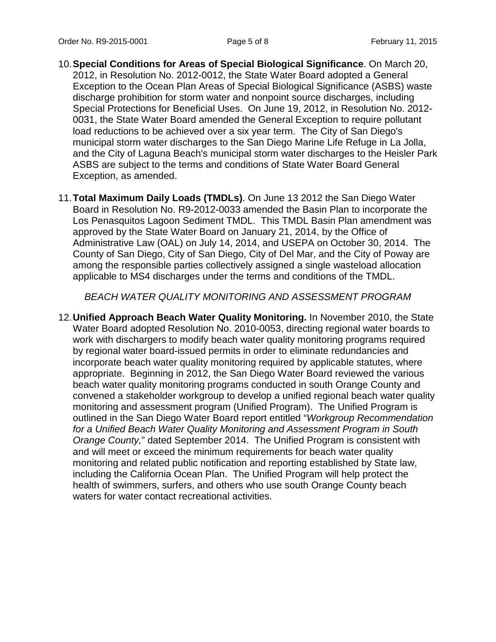- 10.**Special Conditions for Areas of Special Biological Significance**. On March 20, 2012, in Resolution No. 2012-0012, the State Water Board adopted a General Exception to the Ocean Plan Areas of Special Biological Significance (ASBS) waste discharge prohibition for storm water and nonpoint source discharges, including Special Protections for Beneficial Uses. On June 19, 2012, in Resolution No. 2012- 0031, the State Water Board amended the General Exception to require pollutant load reductions to be achieved over a six year term. The City of San Diego's municipal storm water discharges to the San Diego Marine Life Refuge in La Jolla, and the City of Laguna Beach's municipal storm water discharges to the Heisler Park ASBS are subject to the terms and conditions of State Water Board General Exception, as amended.
- 11.**Total Maximum Daily Loads (TMDLs)**. On June 13 2012 the San Diego Water Board in Resolution No. R9-2012-0033 amended the Basin Plan to incorporate the Los Penasquitos Lagoon Sediment TMDL. This TMDL Basin Plan amendment was approved by the State Water Board on January 21, 2014, by the Office of Administrative Law (OAL) on July 14, 2014, and USEPA on October 30, 2014. The County of San Diego, City of San Diego, City of Del Mar, and the City of Poway are among the responsible parties collectively assigned a single wasteload allocation applicable to MS4 discharges under the terms and conditions of the TMDL.

*BEACH WATER QUALITY MONITORING AND ASSESSMENT PROGRAM*

12.**Unified Approach Beach Water Quality Monitoring.** In November 2010, the State Water Board adopted Resolution No. 2010-0053, directing regional water boards to work with dischargers to modify beach water quality monitoring programs required by regional water board-issued permits in order to eliminate redundancies and incorporate beach water quality monitoring required by applicable statutes, where appropriate. Beginning in 2012, the San Diego Water Board reviewed the various beach water quality monitoring programs conducted in south Orange County and convened a stakeholder workgroup to develop a unified regional beach water quality monitoring and assessment program (Unified Program). The Unified Program is outlined in the San Diego Water Board report entitled "*Workgroup Recommendation for a Unified Beach Water Quality Monitoring and Assessment Program in South Orange County,*" dated September 2014. The Unified Program is consistent with and will meet or exceed the minimum requirements for beach water quality monitoring and related public notification and reporting established by State law, including the California Ocean Plan. The Unified Program will help protect the health of swimmers, surfers, and others who use south Orange County beach waters for water contact recreational activities.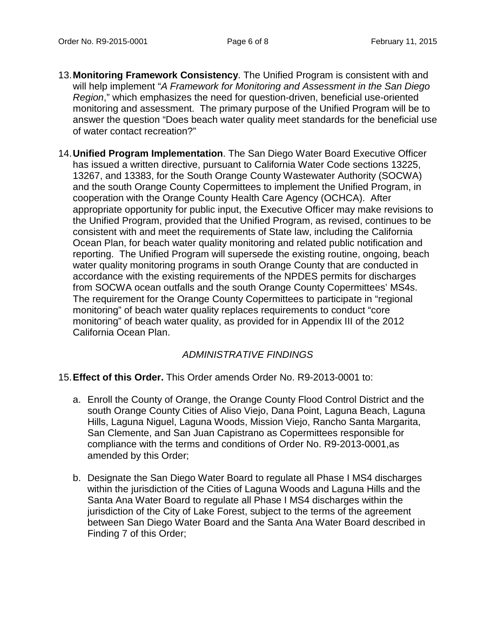- 13.**Monitoring Framework Consistency**. The Unified Program is consistent with and will help implement "*A Framework for Monitoring and Assessment in the San Diego Region*," which emphasizes the need for question-driven, beneficial use-oriented monitoring and assessment. The primary purpose of the Unified Program will be to answer the question "Does beach water quality meet standards for the beneficial use of water contact recreation?"
- 14.**Unified Program Implementation**. The San Diego Water Board Executive Officer has issued a written directive, pursuant to California Water Code sections 13225, 13267, and 13383, for the South Orange County Wastewater Authority (SOCWA) and the south Orange County Copermittees to implement the Unified Program, in cooperation with the Orange County Health Care Agency (OCHCA). After appropriate opportunity for public input, the Executive Officer may make revisions to the Unified Program, provided that the Unified Program, as revised, continues to be consistent with and meet the requirements of State law, including the California Ocean Plan, for beach water quality monitoring and related public notification and reporting. The Unified Program will supersede the existing routine, ongoing, beach water quality monitoring programs in south Orange County that are conducted in accordance with the existing requirements of the NPDES permits for discharges from SOCWA ocean outfalls and the south Orange County Copermittees' MS4s. The requirement for the Orange County Copermittees to participate in "regional monitoring" of beach water quality replaces requirements to conduct "core monitoring" of beach water quality, as provided for in Appendix III of the 2012 California Ocean Plan.

# *ADMINISTRATIVE FINDINGS*

### 15.**Effect of this Order.** This Order amends Order No. R9-2013-0001 to:

- a. Enroll the County of Orange, the Orange County Flood Control District and the south Orange County Cities of Aliso Viejo, Dana Point, Laguna Beach, Laguna Hills, Laguna Niguel, Laguna Woods, Mission Viejo, Rancho Santa Margarita, San Clemente, and San Juan Capistrano as Copermittees responsible for compliance with the terms and conditions of Order No. R9-2013-0001,as amended by this Order;
- b. Designate the San Diego Water Board to regulate all Phase I MS4 discharges within the jurisdiction of the Cities of Laguna Woods and Laguna Hills and the Santa Ana Water Board to regulate all Phase I MS4 discharges within the jurisdiction of the City of Lake Forest, subject to the terms of the agreement between San Diego Water Board and the Santa Ana Water Board described in Finding 7 of this Order;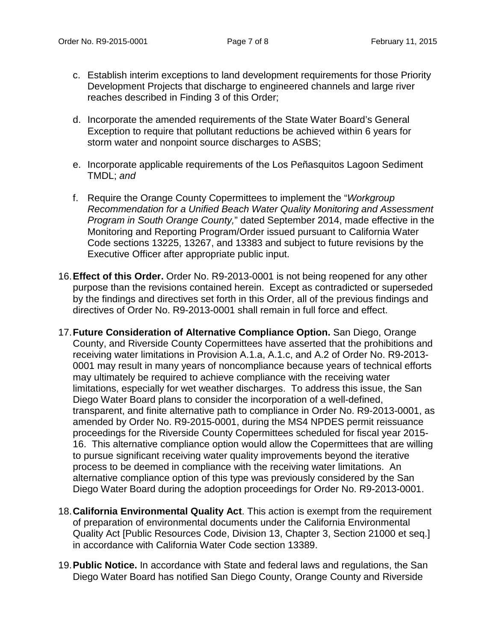- c. Establish interim exceptions to land development requirements for those Priority Development Projects that discharge to engineered channels and large river reaches described in Finding 3 of this Order;
- d. Incorporate the amended requirements of the State Water Board's General Exception to require that pollutant reductions be achieved within 6 years for storm water and nonpoint source discharges to ASBS;
- e. Incorporate applicable requirements of the Los Peñasquitos Lagoon Sediment TMDL; *and*
- f. Require the Orange County Copermittees to implement the "*Workgroup Recommendation for a Unified Beach Water Quality Monitoring and Assessment Program in South Orange County,*" dated September 2014, made effective in the Monitoring and Reporting Program/Order issued pursuant to California Water Code sections 13225, 13267, and 13383 and subject to future revisions by the Executive Officer after appropriate public input.
- 16.**Effect of this Order.** Order No. R9-2013-0001 is not being reopened for any other purpose than the revisions contained herein. Except as contradicted or superseded by the findings and directives set forth in this Order, all of the previous findings and directives of Order No. R9-2013-0001 shall remain in full force and effect.
- 17.**Future Consideration of Alternative Compliance Option.** San Diego, Orange County, and Riverside County Copermittees have asserted that the prohibitions and receiving water limitations in Provision A.1.a, A.1.c, and A.2 of Order No. R9-2013- 0001 may result in many years of noncompliance because years of technical efforts may ultimately be required to achieve compliance with the receiving water limitations, especially for wet weather discharges. To address this issue, the San Diego Water Board plans to consider the incorporation of a well-defined, transparent, and finite alternative path to compliance in Order No. R9-2013-0001, as amended by Order No. R9-2015-0001, during the MS4 NPDES permit reissuance proceedings for the Riverside County Copermittees scheduled for fiscal year 2015- 16. This alternative compliance option would allow the Copermittees that are willing to pursue significant receiving water quality improvements beyond the iterative process to be deemed in compliance with the receiving water limitations. An alternative compliance option of this type was previously considered by the San Diego Water Board during the adoption proceedings for Order No. R9-2013-0001.
- 18.**California Environmental Quality Act**. This action is exempt from the requirement of preparation of environmental documents under the California Environmental Quality Act [Public Resources Code, Division 13, Chapter 3, Section 21000 et seq.] in accordance with California Water Code section 13389.
- 19.**Public Notice.** In accordance with State and federal laws and regulations, the San Diego Water Board has notified San Diego County, Orange County and Riverside